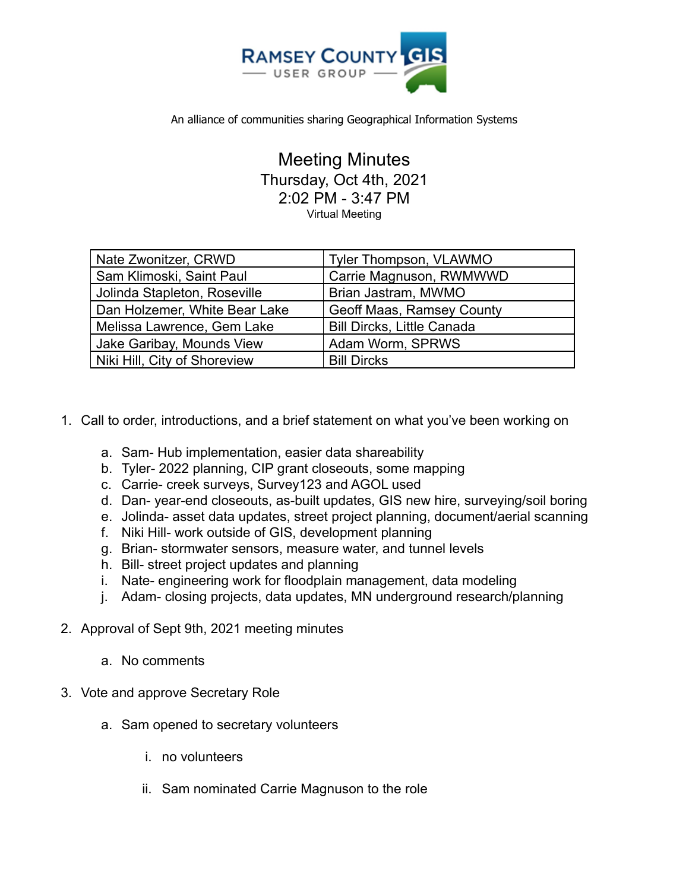

An alliance of communities sharing Geographical Information Systems

Meeting Minutes Thursday, Oct 4th, 2021 2:02 PM - 3:47 PM Virtual Meeting

| Nate Zwonitzer, CRWD          | Tyler Thompson, VLAWMO            |
|-------------------------------|-----------------------------------|
| Sam Klimoski, Saint Paul      | Carrie Magnuson, RWMWWD           |
| Jolinda Stapleton, Roseville  | Brian Jastram, MWMO               |
| Dan Holzemer, White Bear Lake | Geoff Maas, Ramsey County         |
| Melissa Lawrence, Gem Lake    | <b>Bill Dircks, Little Canada</b> |
| Jake Garibay, Mounds View     | Adam Worm, SPRWS                  |
| Niki Hill, City of Shoreview  | <b>Bill Dircks</b>                |

- 1. Call to order, introductions, and a brief statement on what you've been working on
	- a. Sam- Hub implementation, easier data shareability
	- b. Tyler- 2022 planning, CIP grant closeouts, some mapping
	- c. Carrie- creek surveys, Survey123 and AGOL used
	- d. Dan- year-end closeouts, as-built updates, GIS new hire, surveying/soil boring
	- e. Jolinda- asset data updates, street project planning, document/aerial scanning
	- f. Niki Hill- work outside of GIS, development planning
	- g. Brian- stormwater sensors, measure water, and tunnel levels
	- h. Bill- street project updates and planning
	- i. Nate- engineering work for floodplain management, data modeling
	- j. Adam- closing projects, data updates, MN underground research/planning
- 2. Approval of Sept 9th, 2021 meeting minutes
	- a. No comments
- 3. Vote and approve Secretary Role
	- a. Sam opened to secretary volunteers
		- i. no volunteers
		- ii. Sam nominated Carrie Magnuson to the role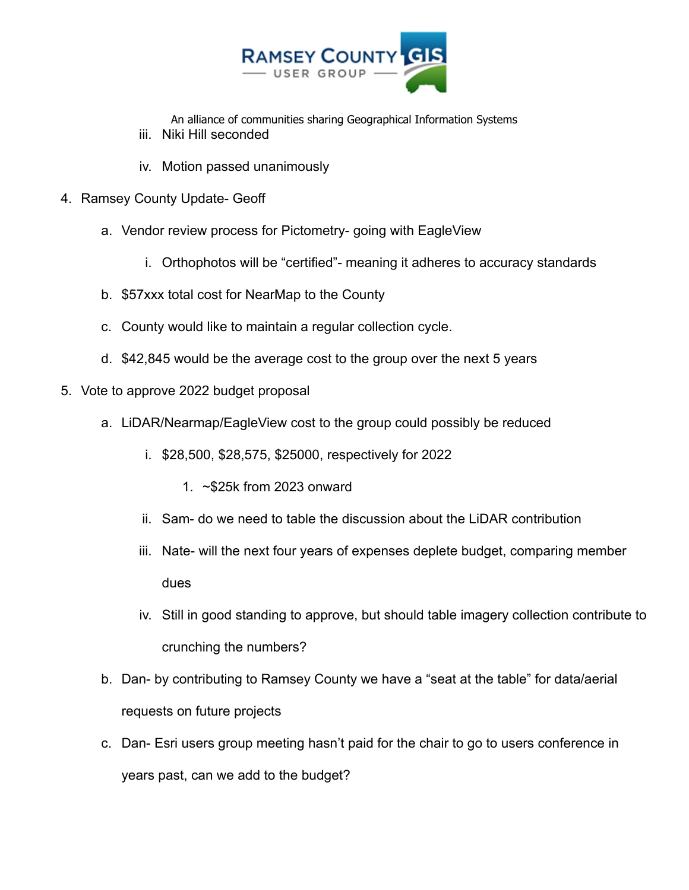

An alliance of communities sharing Geographical Information Systems

- iii. Niki Hill seconded
- iv. Motion passed unanimously
- 4. Ramsey County Update- Geoff
	- a. Vendor review process for Pictometry- going with EagleView
		- i. Orthophotos will be "certified"- meaning it adheres to accuracy standards
	- b. \$57xxx total cost for NearMap to the County
	- c. County would like to maintain a regular collection cycle.
	- d. \$42,845 would be the average cost to the group over the next 5 years
- 5. Vote to approve 2022 budget proposal
	- a. LiDAR/Nearmap/EagleView cost to the group could possibly be reduced
		- i. \$28,500, \$28,575, \$25000, respectively for 2022
			- 1. ~\$25k from 2023 onward
		- ii. Sam- do we need to table the discussion about the LiDAR contribution
		- iii. Nate- will the next four years of expenses deplete budget, comparing member dues
		- iv. Still in good standing to approve, but should table imagery collection contribute to crunching the numbers?
	- b. Dan- by contributing to Ramsey County we have a "seat at the table" for data/aerial requests on future projects
	- c. Dan- Esri users group meeting hasn't paid for the chair to go to users conference in years past, can we add to the budget?